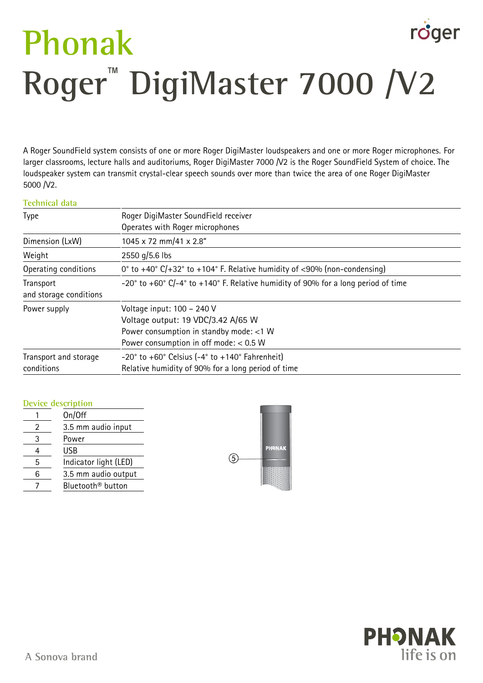# roger **Phonak Roger**™  **DigiMaster 7000 /V2**

A Roger SoundField system consists of one or more Roger DigiMaster loudspeakers and one or more Roger microphones. For larger classrooms, lecture halls and auditoriums, Roger DigiMaster 7000 /V2 is the Roger SoundField System of choice. The loudspeaker system can transmit crystal-clear speech sounds over more than twice the area of one Roger DigiMaster 5000 /V2.

#### **Technical data**

| <b>Type</b>                         | Roger DigiMaster SoundField receiver<br>Operates with Roger microphones                                                                                 |  |
|-------------------------------------|---------------------------------------------------------------------------------------------------------------------------------------------------------|--|
| Dimension (LxW)                     | 1045 x 72 mm/41 x 2.8"                                                                                                                                  |  |
| Weight                              | 2550 g/5.6 lbs                                                                                                                                          |  |
| Operating conditions                | 0° to +40° $C/+32$ ° to +104° F. Relative humidity of <90% (non-condensing)                                                                             |  |
| Transport<br>and storage conditions | $-20^{\circ}$ to $+60^{\circ}$ C/ $-4^{\circ}$ to $+140^{\circ}$ F. Relative humidity of 90% for a long period of time                                  |  |
| Power supply                        | Voltage input: 100 - 240 V<br>Voltage output: 19 VDC/3.42 A/65 W<br>Power consumption in standby mode: <1 W<br>Power consumption in off mode: $< 0.5$ W |  |
| Transport and storage<br>conditions | $-20^\circ$ to $+60^\circ$ Celsius ( $-4^\circ$ to $+140^\circ$ Fahrenheit)<br>Relative humidity of 90% for a long period of time                       |  |

#### **Device description**

|   | On/Off                        |   |
|---|-------------------------------|---|
|   | 3.5 mm audio input            |   |
|   | Power                         |   |
|   | USB                           |   |
| 5 | Indicator light (LED)         | Έ |
|   | 3.5 mm audio output           |   |
|   | Bluetooth <sup>®</sup> button |   |



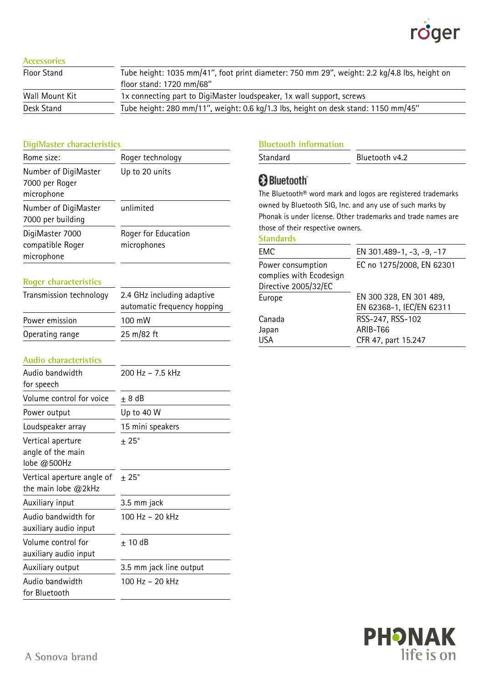

#### **Accessories**

| Tube height: 1035 mm/41", foot print diameter: 750 mm 29", weight: 2.2 kg/4.8 lbs, height on |  |
|----------------------------------------------------------------------------------------------|--|
| floor stand: 1720 mm/68"                                                                     |  |
| 1x connecting part to DigiMaster loudspeaker, 1x wall support, screws                        |  |
| Tube height: 280 mm/11", weight: 0.6 kg/1.3 lbs, height on desk stand: 1150 mm/45"           |  |
|                                                                                              |  |

#### **DigiMaster characteristics**

| Rome size:                                           | Roger technology                   |
|------------------------------------------------------|------------------------------------|
| Number of DigiMaster<br>7000 per Roger<br>microphone | Up to 20 units                     |
| Number of DigiMaster<br>7000 per building            | unlimited                          |
| DigiMaster 7000<br>compatible Roger<br>microphone    | Roger for Education<br>microphones |

#### **Roger characteristics**

| Transmission technology | 2.4 GHz including adaptive<br>automatic frequency hopping |  |
|-------------------------|-----------------------------------------------------------|--|
| Power emission          | $100 \text{ mW}$                                          |  |
| Operating range         | 25 m/82 ft                                                |  |

#### **Audio characteristics**

| Audio bandwidth<br>for speech                           | 200 Hz - 7.5 kHz        |
|---------------------------------------------------------|-------------------------|
| Volume control for voice                                | $\pm$ 8 dB              |
| Power output                                            | Up to 40 W              |
| Loudspeaker array                                       | 15 mini speakers        |
| Vertical aperture<br>angle of the main<br>lobe $@500Hz$ | $\pm$ 25°               |
| Vertical aperture angle of<br>the main lobe $@2kHz$     | $\pm$ 25°               |
| Auxiliary input                                         | 3.5 mm jack             |
| Audio bandwidth for<br>auxiliary audio input            | 100 Hz – 20 kHz         |
| Volume control for<br>auxiliary audio input             | + 10 dB                 |
| Auxiliary output                                        | 3.5 mm jack line output |
| Audio bandwidth<br>for Bluetooth                        | 100 Hz – 20 kHz         |

### **Bluetooth information**

| Standard | Bluetooth v4.2 |
|----------|----------------|
|          |                |

# Bluetooth<sup>®</sup>

The Bluetooth® word mark and logos are registered trademarks owned by Bluetooth SIG, Inc. and any use of such marks by Phonak is under license. Other trademarks and trade names are those of their respective owners.

#### **Standards**

| EMC                                                                  | EN 301.489-1, -3, -9, -17                           |
|----------------------------------------------------------------------|-----------------------------------------------------|
| Power consumption<br>complies with Ecodesign<br>Directive 2005/32/EC | EC no 1275/2008, EN 62301                           |
| Europe                                                               | EN 300 328, EN 301 489,<br>EN 62368-1, IEC/EN 62311 |
| Canada<br>Japan                                                      | RSS-247, RSS-102<br>ARIB-T66                        |
| <b>USA</b>                                                           | CFR 47, part 15.247                                 |